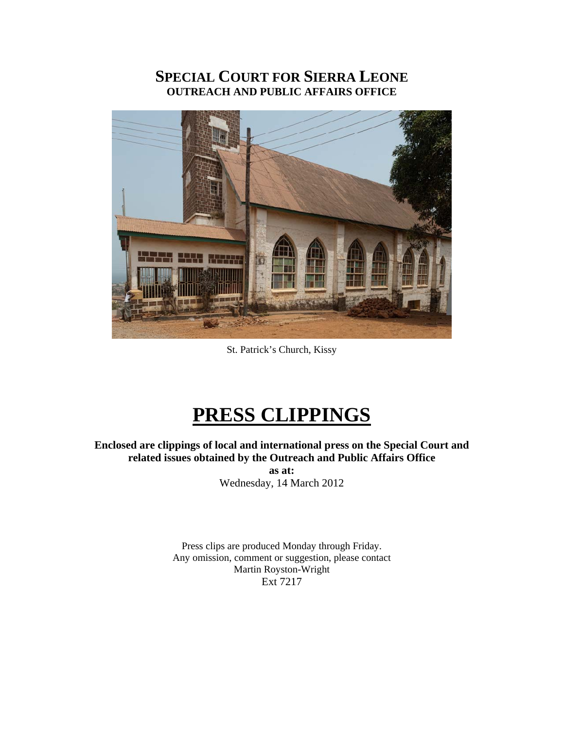# **SPECIAL COURT FOR SIERRA LEONE OUTREACH AND PUBLIC AFFAIRS OFFICE**



St. Patrick's Church, Kissy

# **PRESS CLIPPINGS**

**Enclosed are clippings of local and international press on the Special Court and related issues obtained by the Outreach and Public Affairs Office** 

> **as at:**  Wednesday, 14 March 2012

Press clips are produced Monday through Friday. Any omission, comment or suggestion, please contact Martin Royston-Wright Ext 7217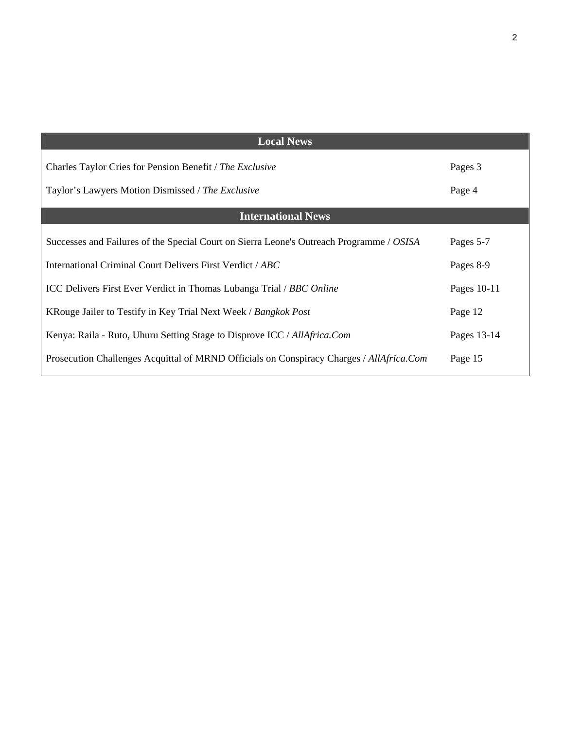| <b>Local News</b>                                                                                             |                   |
|---------------------------------------------------------------------------------------------------------------|-------------------|
| Charles Taylor Cries for Pension Benefit / The Exclusive<br>Taylor's Lawyers Motion Dismissed / The Exclusive | Pages 3<br>Page 4 |
| <b>International News</b>                                                                                     |                   |
| Successes and Failures of the Special Court on Sierra Leone's Outreach Programme / OSISA                      | Pages 5-7         |
| International Criminal Court Delivers First Verdict / ABC                                                     | Pages 8-9         |
| ICC Delivers First Ever Verdict in Thomas Lubanga Trial / BBC Online                                          | Pages 10-11       |
| KRouge Jailer to Testify in Key Trial Next Week / Bangkok Post                                                | Page 12           |
| Kenya: Raila - Ruto, Uhuru Setting Stage to Disprove ICC / AllAfrica.Com                                      | Pages 13-14       |
| Prosecution Challenges Acquittal of MRND Officials on Conspiracy Charges / AllAfrica.Com                      | Page 15           |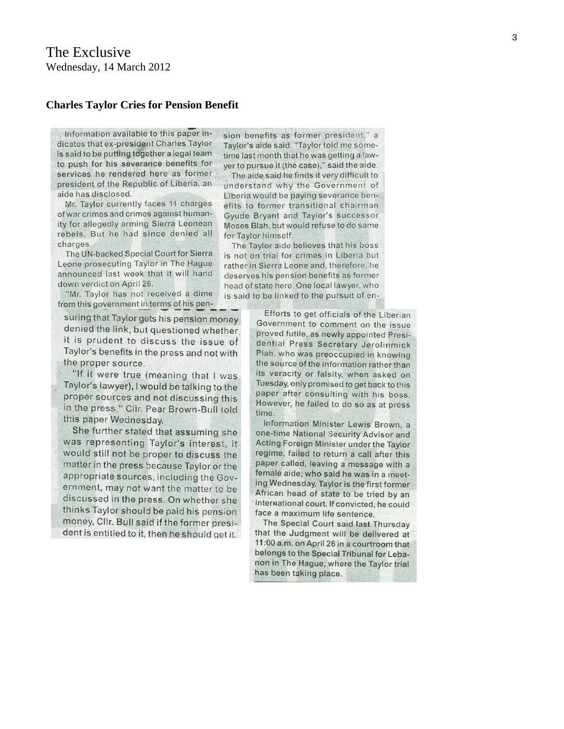#### **Charles Taylor Cries for Pension Benefit**

Information available to this paper indicates that ex-president Charles Taylor is said to be putting together a legal team to push for his severance benefits for services he rendered here as former president of the Republic of Liberia, an aide has disclosed.

Mr. Taylor currently faces 11 charges of war crimes and crimes against humanity for allegedly arming Sierra Leonean rebels. But he had since denied all charges.

The UN-backed Special Court for Sierra Leone prosecuting Taylor in The Hague announced last week that it will hand down verdict on April 26.

"Mr. Taylor has not received a dime from this government in terms of his pen-

suring that Taylor gets his pension money denied the link, but questioned whether. it is prudent to discuss the issue of Taylor's benefits in the press and not with the proper source.

"If it were true (meaning that I was Taylor's lawyer), I would be talking to the proper sources and not discussing this in the press," Clir. Pear Brown-Bull told this paper Wednesday.

She further stated that assuming she was representing Taylor's interest, it would still not be proper to discuss the matter in the press because Taylor or the appropriate sources, including the Government, may not want the matter to be discussed in the press. On whether she thinks Taylor should be paid his pension money, Cllr. Bull said if the former president is entitled to it, then he should get it.

sion benefits as former president." a Taylor's aide said. "Taylor told me sometime last month that he was getting a lawyer to pursue it (the case)," said the aide.

The aide said he finds it very difficult to understand why the Government of Liberia would be paying severance benefits to former transitional chairman Gyude Bryant and Taylor's successor Moses Blah, but would refuse to do same for Taylor himself.

The Taylor aide believes that his boss is not on trial for crimes in Liberia but rather in Sierra Leone and, therefore, he deserves his pension benefits as former head of state here. One local lawyer, who is said to be linked to the pursuit of en-

> Efforts to get officials of the Liberian Government to comment on the issue proved futile, as newly appointed Presidential Press Secretary Jerolinmick Piah, who was preoccupied in knowing the source of the information rather than its veracity or falsity, when asked on Tuesday, only promised to get back to this paper after consulting with his boss. However, he failed to do so as at press time.

> Information Minister Lewis Brown, a one-time National Security Advisor and Acting Foreign Minister under the Taylor regime, failed to return a call after this paper called, leaving a message with a female aide, who said he was in a meeting Wednesday. Taylor is the first former African head of state to be tried by an international court. If convicted, he could face a maximum life sentence.

> The Special Court said last Thursday that the Judgment will be delivered at 11:00 a.m. on April 26 in a courtroom that belongs to the Special Tribunal for Lebanon in The Hague, where the Taylor trial has been taking place.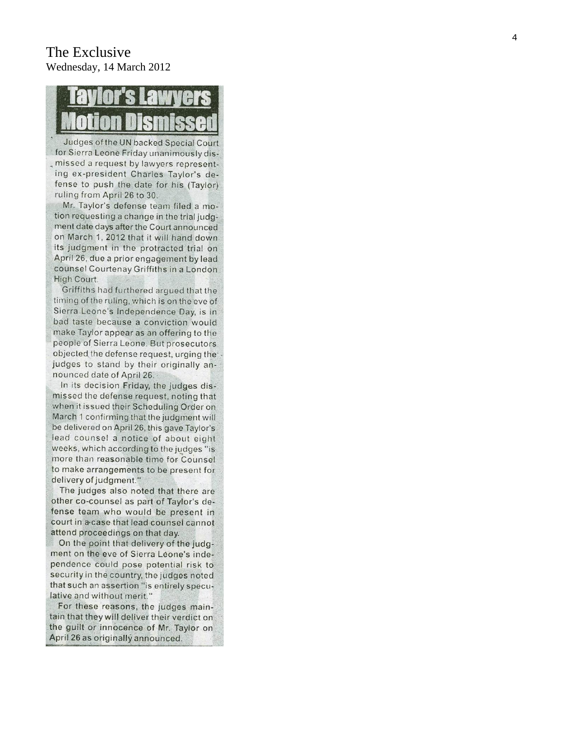# The Exclusive Wednesday, 14 March 2012

Judges of the UN backed Special Court for Sierra Leone Friday unanimously dismissed a request by lawyers representing ex-president Charles Taylor's defense to push the date for his (Taylor) ruling from April 26 to 30.

Mr. Taylor's defense team filed a motion requesting a change in the trial judgment date days after the Court announced on March 1, 2012 that it will hand down its judgment in the protracted trial on April 26, due a prior engagement by lead counsel Courtenay Griffiths in a London High Court.

Griffiths had furthered argued that the timing of the ruling, which is on the eve of Sierra Leone's Independence Day, is in bad taste because a conviction would make Taylor appear as an offering to the people of Sierra Leone. But prosecutors objected the defense request, urging the judges to stand by their originally announced date of April 26.

In its decision Friday, the judges dismissed the defense request, noting that when it issued their Scheduling Order on March 1 confirming that the judgment will be delivered on April 26, this gave Taylor's lead counsel a notice of about eight weeks, which according to the judges "is more than reasonable time for Counsel to make arrangements to be present for delivery of judgment."

The judges also noted that there are other co-counsel as part of Taylor's defense team who would be present in court in a case that lead counsel cannot attend proceedings on that day.

On the point that delivery of the judgment on the eve of Sierra Leone's independence could pose potential risk to security in the country, the judges noted that such an assertion "is entirely speculative and without merit."

For these reasons, the judges maintain that they will deliver their verdict on the guilt or innocence of Mr. Taylor on April 26 as originally announced.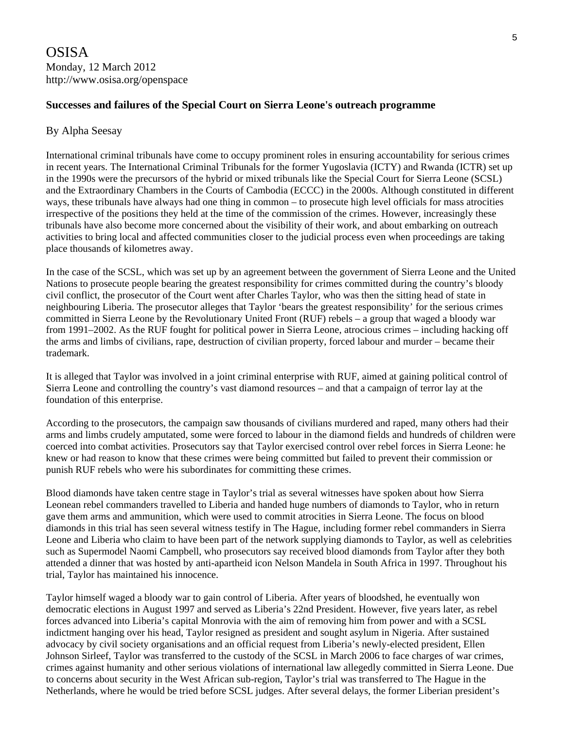#### **Successes and failures of the Special Court on Sierra Leone's outreach programme**

#### By Alpha Seesay

International criminal tribunals have come to occupy prominent roles in ensuring accountability for serious crimes in recent years. The International Criminal Tribunals for the former Yugoslavia (ICTY) and Rwanda (ICTR) set up in the 1990s were the precursors of the hybrid or mixed tribunals like the Special Court for Sierra Leone (SCSL) and the Extraordinary Chambers in the Courts of Cambodia (ECCC) in the 2000s. Although constituted in different ways, these tribunals have always had one thing in common – to prosecute high level officials for mass atrocities irrespective of the positions they held at the time of the commission of the crimes. However, increasingly these tribunals have also become more concerned about the visibility of their work, and about embarking on outreach activities to bring local and affected communities closer to the judicial process even when proceedings are taking place thousands of kilometres away.

In the case of the SCSL, which was set up by an agreement between the government of Sierra Leone and the United Nations to prosecute people bearing the greatest responsibility for crimes committed during the country's bloody civil conflict, the prosecutor of the Court went after Charles Taylor, who was then the sitting head of state in neighbouring Liberia. The prosecutor alleges that Taylor 'bears the greatest responsibility' for the serious crimes committed in Sierra Leone by the Revolutionary United Front (RUF) rebels – a group that waged a bloody war from 1991–2002. As the RUF fought for political power in Sierra Leone, atrocious crimes – including hacking off the arms and limbs of civilians, rape, destruction of civilian property, forced labour and murder – became their trademark.

It is alleged that Taylor was involved in a joint criminal enterprise with RUF, aimed at gaining political control of Sierra Leone and controlling the country's vast diamond resources – and that a campaign of terror lay at the foundation of this enterprise.

According to the prosecutors, the campaign saw thousands of civilians murdered and raped, many others had their arms and limbs crudely amputated, some were forced to labour in the diamond fields and hundreds of children were coerced into combat activities. Prosecutors say that Taylor exercised control over rebel forces in Sierra Leone: he knew or had reason to know that these crimes were being committed but failed to prevent their commission or punish RUF rebels who were his subordinates for committing these crimes.

Blood diamonds have taken centre stage in Taylor's trial as several witnesses have spoken about how Sierra Leonean rebel commanders travelled to Liberia and handed huge numbers of diamonds to Taylor, who in return gave them arms and ammunition, which were used to commit atrocities in Sierra Leone. The focus on blood diamonds in this trial has seen several witness testify in The Hague, including former rebel commanders in Sierra Leone and Liberia who claim to have been part of the network supplying diamonds to Taylor, as well as celebrities such as Supermodel Naomi Campbell, who prosecutors say received blood diamonds from Taylor after they both attended a dinner that was hosted by anti-apartheid icon Nelson Mandela in South Africa in 1997. Throughout his trial, Taylor has maintained his innocence.

Taylor himself waged a bloody war to gain control of Liberia. After years of bloodshed, he eventually won democratic elections in August 1997 and served as Liberia's 22nd President. However, five years later, as rebel forces advanced into Liberia's capital Monrovia with the aim of removing him from power and with a SCSL indictment hanging over his head, Taylor resigned as president and sought asylum in Nigeria. After sustained advocacy by civil society organisations and an official request from Liberia's newly-elected president, Ellen Johnson Sirleef, Taylor was transferred to the custody of the SCSL in March 2006 to face charges of war crimes, crimes against humanity and other serious violations of international law allegedly committed in Sierra Leone. Due to concerns about security in the West African sub-region, Taylor's trial was transferred to The Hague in the Netherlands, where he would be tried before SCSL judges. After several delays, the former Liberian president's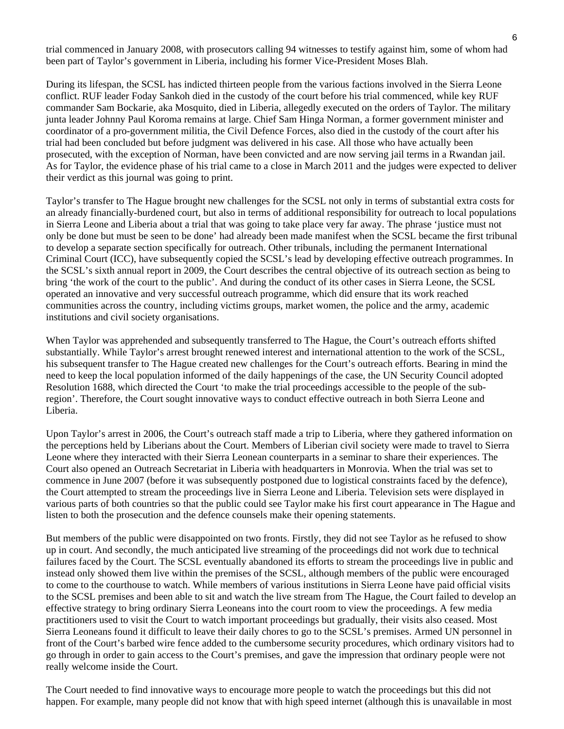trial commenced in January 2008, with prosecutors calling 94 witnesses to testify against him, some of whom had been part of Taylor's government in Liberia, including his former Vice-President Moses Blah.

During its lifespan, the SCSL has indicted thirteen people from the various factions involved in the Sierra Leone conflict. RUF leader Foday Sankoh died in the custody of the court before his trial commenced, while key RUF commander Sam Bockarie, aka Mosquito, died in Liberia, allegedly executed on the orders of Taylor. The military junta leader Johnny Paul Koroma remains at large. Chief Sam Hinga Norman, a former government minister and coordinator of a pro-government militia, the Civil Defence Forces, also died in the custody of the court after his trial had been concluded but before judgment was delivered in his case. All those who have actually been prosecuted, with the exception of Norman, have been convicted and are now serving jail terms in a Rwandan jail. As for Taylor, the evidence phase of his trial came to a close in March 2011 and the judges were expected to deliver their verdict as this journal was going to print.

Taylor's transfer to The Hague brought new challenges for the SCSL not only in terms of substantial extra costs for an already financially-burdened court, but also in terms of additional responsibility for outreach to local populations in Sierra Leone and Liberia about a trial that was going to take place very far away. The phrase 'justice must not only be done but must be seen to be done' had already been made manifest when the SCSL became the first tribunal to develop a separate section specifically for outreach. Other tribunals, including the permanent International Criminal Court (ICC), have subsequently copied the SCSL's lead by developing effective outreach programmes. In the SCSL's sixth annual report in 2009, the Court describes the central objective of its outreach section as being to bring 'the work of the court to the public'. And during the conduct of its other cases in Sierra Leone, the SCSL operated an innovative and very successful outreach programme, which did ensure that its work reached communities across the country, including victims groups, market women, the police and the army, academic institutions and civil society organisations.

When Taylor was apprehended and subsequently transferred to The Hague, the Court's outreach efforts shifted substantially. While Taylor's arrest brought renewed interest and international attention to the work of the SCSL, his subsequent transfer to The Hague created new challenges for the Court's outreach efforts. Bearing in mind the need to keep the local population informed of the daily happenings of the case, the UN Security Council adopted Resolution 1688, which directed the Court 'to make the trial proceedings accessible to the people of the subregion'. Therefore, the Court sought innovative ways to conduct effective outreach in both Sierra Leone and Liberia.

Upon Taylor's arrest in 2006, the Court's outreach staff made a trip to Liberia, where they gathered information on the perceptions held by Liberians about the Court. Members of Liberian civil society were made to travel to Sierra Leone where they interacted with their Sierra Leonean counterparts in a seminar to share their experiences. The Court also opened an Outreach Secretariat in Liberia with headquarters in Monrovia. When the trial was set to commence in June 2007 (before it was subsequently postponed due to logistical constraints faced by the defence), the Court attempted to stream the proceedings live in Sierra Leone and Liberia. Television sets were displayed in various parts of both countries so that the public could see Taylor make his first court appearance in The Hague and listen to both the prosecution and the defence counsels make their opening statements.

But members of the public were disappointed on two fronts. Firstly, they did not see Taylor as he refused to show up in court. And secondly, the much anticipated live streaming of the proceedings did not work due to technical failures faced by the Court. The SCSL eventually abandoned its efforts to stream the proceedings live in public and instead only showed them live within the premises of the SCSL, although members of the public were encouraged to come to the courthouse to watch. While members of various institutions in Sierra Leone have paid official visits to the SCSL premises and been able to sit and watch the live stream from The Hague, the Court failed to develop an effective strategy to bring ordinary Sierra Leoneans into the court room to view the proceedings. A few media practitioners used to visit the Court to watch important proceedings but gradually, their visits also ceased. Most Sierra Leoneans found it difficult to leave their daily chores to go to the SCSL's premises. Armed UN personnel in front of the Court's barbed wire fence added to the cumbersome security procedures, which ordinary visitors had to go through in order to gain access to the Court's premises, and gave the impression that ordinary people were not really welcome inside the Court.

The Court needed to find innovative ways to encourage more people to watch the proceedings but this did not happen. For example, many people did not know that with high speed internet (although this is unavailable in most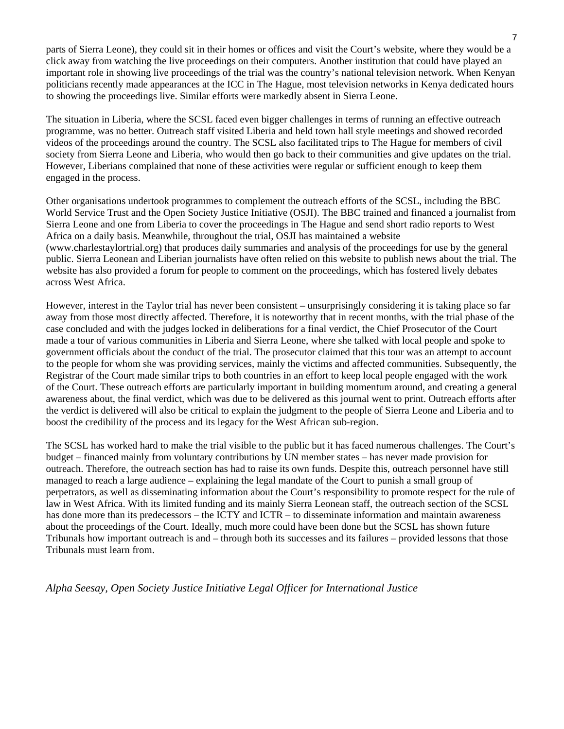parts of Sierra Leone), they could sit in their homes or offices and visit the Court's website, where they would be a click away from watching the live proceedings on their computers. Another institution that could have played an important role in showing live proceedings of the trial was the country's national television network. When Kenyan politicians recently made appearances at the ICC in The Hague, most television networks in Kenya dedicated hours to showing the proceedings live. Similar efforts were markedly absent in Sierra Leone.

The situation in Liberia, where the SCSL faced even bigger challenges in terms of running an effective outreach programme, was no better. Outreach staff visited Liberia and held town hall style meetings and showed recorded videos of the proceedings around the country. The SCSL also facilitated trips to The Hague for members of civil society from Sierra Leone and Liberia, who would then go back to their communities and give updates on the trial. However, Liberians complained that none of these activities were regular or sufficient enough to keep them engaged in the process.

Other organisations undertook programmes to complement the outreach efforts of the SCSL, including the BBC World Service Trust and the Open Society Justice Initiative (OSJI). The BBC trained and financed a journalist from Sierra Leone and one from Liberia to cover the proceedings in The Hague and send short radio reports to West Africa on a daily basis. Meanwhile, throughout the trial, OSJI has maintained a website (www.charlestaylortrial.org) that produces daily summaries and analysis of the proceedings for use by the general public. Sierra Leonean and Liberian journalists have often relied on this website to publish news about the trial. The website has also provided a forum for people to comment on the proceedings, which has fostered lively debates across West Africa.

However, interest in the Taylor trial has never been consistent – unsurprisingly considering it is taking place so far away from those most directly affected. Therefore, it is noteworthy that in recent months, with the trial phase of the case concluded and with the judges locked in deliberations for a final verdict, the Chief Prosecutor of the Court made a tour of various communities in Liberia and Sierra Leone, where she talked with local people and spoke to government officials about the conduct of the trial. The prosecutor claimed that this tour was an attempt to account to the people for whom she was providing services, mainly the victims and affected communities. Subsequently, the Registrar of the Court made similar trips to both countries in an effort to keep local people engaged with the work of the Court. These outreach efforts are particularly important in building momentum around, and creating a general awareness about, the final verdict, which was due to be delivered as this journal went to print. Outreach efforts after the verdict is delivered will also be critical to explain the judgment to the people of Sierra Leone and Liberia and to boost the credibility of the process and its legacy for the West African sub-region.

The SCSL has worked hard to make the trial visible to the public but it has faced numerous challenges. The Court's budget – financed mainly from voluntary contributions by UN member states – has never made provision for outreach. Therefore, the outreach section has had to raise its own funds. Despite this, outreach personnel have still managed to reach a large audience – explaining the legal mandate of the Court to punish a small group of perpetrators, as well as disseminating information about the Court's responsibility to promote respect for the rule of law in West Africa. With its limited funding and its mainly Sierra Leonean staff, the outreach section of the SCSL has done more than its predecessors – the ICTY and ICTR – to disseminate information and maintain awareness about the proceedings of the Court. Ideally, much more could have been done but the SCSL has shown future Tribunals how important outreach is and – through both its successes and its failures – provided lessons that those Tribunals must learn from.

*Alpha Seesay, Open Society Justice Initiative Legal Officer for International Justice*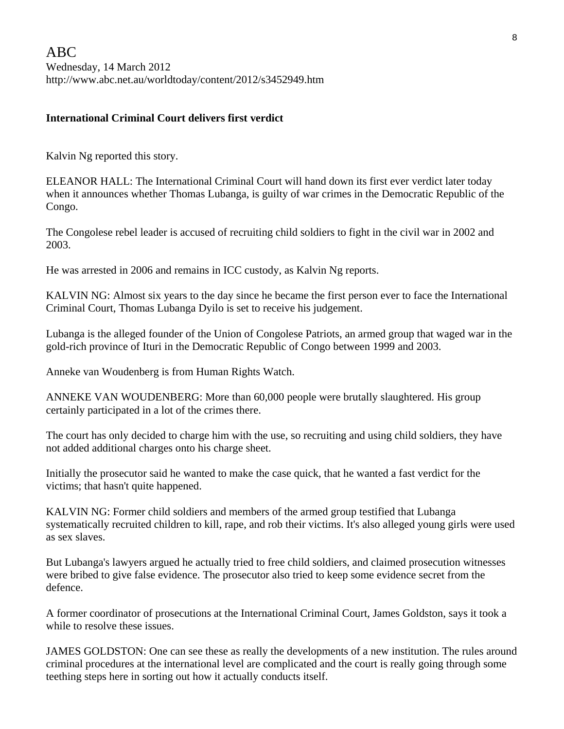#### **International Criminal Court delivers first verdict**

Kalvin Ng reported this story.

ELEANOR HALL: The International Criminal Court will hand down its first ever verdict later today when it announces whether Thomas Lubanga, is guilty of war crimes in the Democratic Republic of the Congo.

The Congolese rebel leader is accused of recruiting child soldiers to fight in the civil war in 2002 and 2003.

He was arrested in 2006 and remains in ICC custody, as Kalvin Ng reports.

KALVIN NG: Almost six years to the day since he became the first person ever to face the International Criminal Court, Thomas Lubanga Dyilo is set to receive his judgement.

Lubanga is the alleged founder of the Union of Congolese Patriots, an armed group that waged war in the gold-rich province of Ituri in the Democratic Republic of Congo between 1999 and 2003.

Anneke van Woudenberg is from Human Rights Watch.

ANNEKE VAN WOUDENBERG: More than 60,000 people were brutally slaughtered. His group certainly participated in a lot of the crimes there.

The court has only decided to charge him with the use, so recruiting and using child soldiers, they have not added additional charges onto his charge sheet.

Initially the prosecutor said he wanted to make the case quick, that he wanted a fast verdict for the victims; that hasn't quite happened.

KALVIN NG: Former child soldiers and members of the armed group testified that Lubanga systematically recruited children to kill, rape, and rob their victims. It's also alleged young girls were used as sex slaves.

But Lubanga's lawyers argued he actually tried to free child soldiers, and claimed prosecution witnesses were bribed to give false evidence. The prosecutor also tried to keep some evidence secret from the defence.

A former coordinator of prosecutions at the International Criminal Court, James Goldston, says it took a while to resolve these issues.

JAMES GOLDSTON: One can see these as really the developments of a new institution. The rules around criminal procedures at the international level are complicated and the court is really going through some teething steps here in sorting out how it actually conducts itself.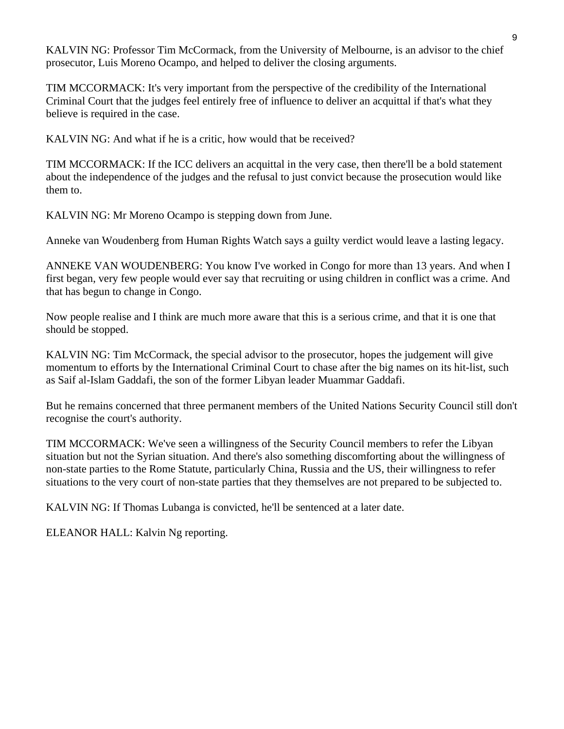KALVIN NG: Professor Tim McCormack, from the University of Melbourne, is an advisor to the chief prosecutor, Luis Moreno Ocampo, and helped to deliver the closing arguments.

TIM MCCORMACK: It's very important from the perspective of the credibility of the International Criminal Court that the judges feel entirely free of influence to deliver an acquittal if that's what they believe is required in the case.

KALVIN NG: And what if he is a critic, how would that be received?

TIM MCCORMACK: If the ICC delivers an acquittal in the very case, then there'll be a bold statement about the independence of the judges and the refusal to just convict because the prosecution would like them to.

KALVIN NG: Mr Moreno Ocampo is stepping down from June.

Anneke van Woudenberg from Human Rights Watch says a guilty verdict would leave a lasting legacy.

ANNEKE VAN WOUDENBERG: You know I've worked in Congo for more than 13 years. And when I first began, very few people would ever say that recruiting or using children in conflict was a crime. And that has begun to change in Congo.

Now people realise and I think are much more aware that this is a serious crime, and that it is one that should be stopped.

KALVIN NG: Tim McCormack, the special advisor to the prosecutor, hopes the judgement will give momentum to efforts by the International Criminal Court to chase after the big names on its hit-list, such as Saif al-Islam Gaddafi, the son of the former Libyan leader Muammar Gaddafi.

But he remains concerned that three permanent members of the United Nations Security Council still don't recognise the court's authority.

TIM MCCORMACK: We've seen a willingness of the Security Council members to refer the Libyan situation but not the Syrian situation. And there's also something discomforting about the willingness of non-state parties to the Rome Statute, particularly China, Russia and the US, their willingness to refer situations to the very court of non-state parties that they themselves are not prepared to be subjected to.

KALVIN NG: If Thomas Lubanga is convicted, he'll be sentenced at a later date.

ELEANOR HALL: Kalvin Ng reporting.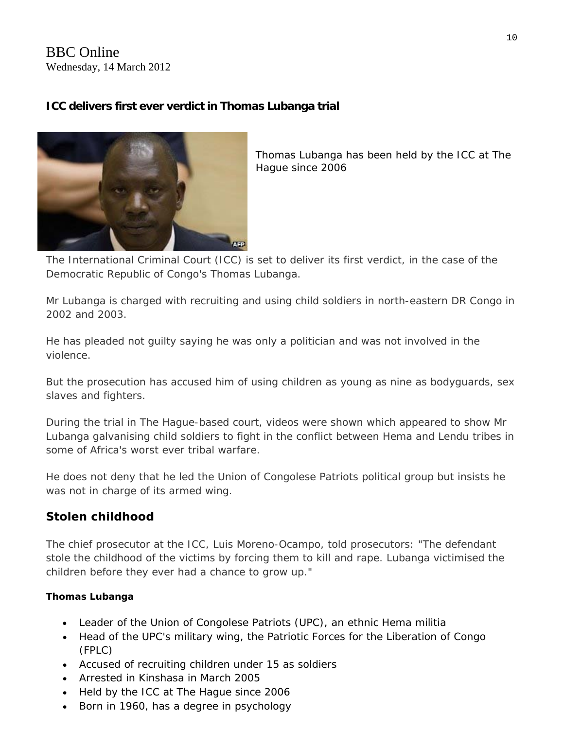# BBC Online Wednesday, 14 March 2012

# **ICC delivers first ever verdict in Thomas Lubanga trial**



*Thomas Lubanga has been held by the ICC at The Hague since 2006* 

The International Criminal Court (ICC) is set to deliver its first verdict, in the case of the Democratic Republic of Congo's Thomas Lubanga.

Mr Lubanga is charged with recruiting and using child soldiers in north-eastern DR Congo in 2002 and 2003.

He has pleaded not guilty saying he was only a politician and was not involved in the violence.

But the prosecution has accused him of using children as young as nine as bodyguards, sex slaves and fighters.

During the trial in The Hague-based court, videos were shown which appeared to show Mr Lubanga galvanising child soldiers to fight in the conflict between Hema and Lendu tribes in some of Africa's worst ever tribal warfare.

He does not deny that he led the Union of Congolese Patriots political group but insists he was not in charge of its armed wing.

# **Stolen childhood**

The chief prosecutor at the ICC, Luis Moreno-Ocampo, told prosecutors: "The defendant stole the childhood of the victims by forcing them to kill and rape. Lubanga victimised the children before they ever had a chance to grow up."

### **Thomas Lubanga**

- Leader of the Union of Congolese Patriots (UPC), an ethnic Hema militia
- Head of the UPC's military wing, the Patriotic Forces for the Liberation of Congo (FPLC)
- Accused of recruiting children under 15 as soldiers
- Arrested in Kinshasa in March 2005
- Held by the ICC at The Hague since 2006
- Born in 1960, has a degree in psychology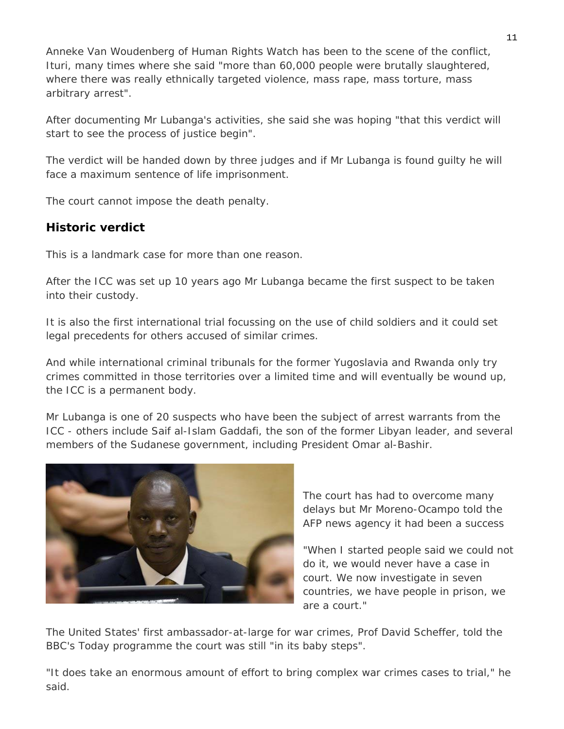Anneke Van Woudenberg of Human Rights Watch has been to the scene of the conflict, Ituri, many times where she said "more than 60,000 people were brutally slaughtered, where there was really ethnically targeted violence, mass rape, mass torture, mass arbitrary arrest".

After documenting Mr Lubanga's activities, she said she was hoping "that this verdict will start to see the process of justice begin".

The verdict will be handed down by three judges and if Mr Lubanga is found guilty he will face a maximum sentence of life imprisonment.

The court cannot impose the death penalty.

# **Historic verdict**

This is a landmark case for more than one reason.

After the ICC was set up 10 years ago Mr Lubanga became the first suspect to be taken into their custody.

It is also the first international trial focussing on the use of child soldiers and it could set legal precedents for others accused of similar crimes.

And while international criminal tribunals for the former Yugoslavia and Rwanda only try crimes committed in those territories over a limited time and will eventually be wound up, the ICC is a permanent body.

members of the Sudanese government, including President Omar al-Bashir. Mr Lubanga is one of 20 suspects who have been the subject of arrest warrants from the ICC - others include Saif al-Islam Gaddafi, the son of the former Libyan leader, and several



The court has had to overcome many delays but Mr Moreno-Ocampo told the AFP news agency it had been a success

"When I started people said we could not countries, we have people in prison, we do it, we would never have a case in court. We now investigate in seven are a court."

The United States' first ambassador-at-large for war crimes, Prof David Scheffer, told the BBC's Today programme the court was still "in its baby steps".

"It does take an enormous amount of effort to bring complex war crimes cases to trial," he said.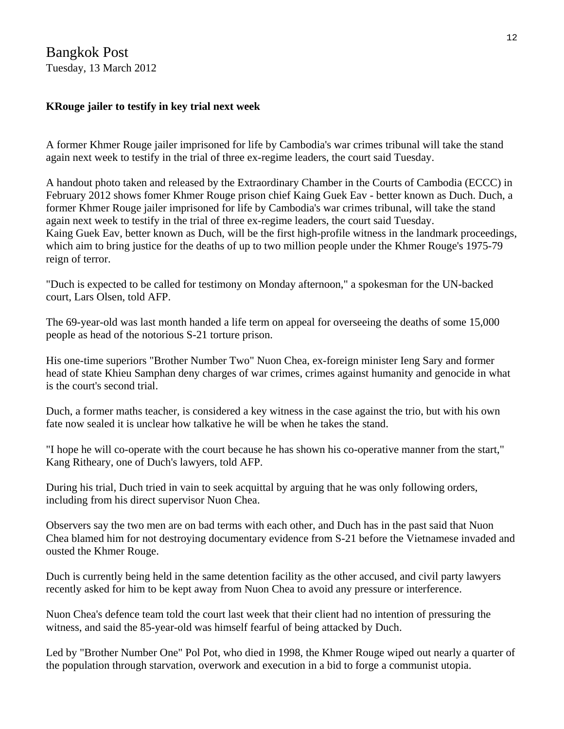# Bangkok Post Tuesday, 13 March 2012

# **KRouge jailer to testify in key trial next week**

A former Khmer Rouge jailer imprisoned for life by Cambodia's war crimes tribunal will take the stand again next week to testify in the trial of three ex-regime leaders, the court said Tuesday.

A handout photo taken and released by the Extraordinary Chamber in the Courts of Cambodia (ECCC) in February 2012 shows fomer Khmer Rouge prison chief Kaing Guek Eav - better known as Duch. Duch, a former Khmer Rouge jailer imprisoned for life by Cambodia's war crimes tribunal, will take the stand again next week to testify in the trial of three ex-regime leaders, the court said Tuesday. Kaing Guek Eav, better known as Duch, will be the first high-profile witness in the landmark proceedings, which aim to bring justice for the deaths of up to two million people under the Khmer Rouge's 1975-79 reign of terror.

"Duch is expected to be called for testimony on Monday afternoon," a spokesman for the UN-backed court, Lars Olsen, told AFP.

The 69-year-old was last month handed a life term on appeal for overseeing the deaths of some 15,000 people as head of the notorious S-21 torture prison.

His one-time superiors "Brother Number Two" Nuon Chea, ex-foreign minister Ieng Sary and former head of state Khieu Samphan deny charges of war crimes, crimes against humanity and genocide in what is the court's second trial.

Duch, a former maths teacher, is considered a key witness in the case against the trio, but with his own fate now sealed it is unclear how talkative he will be when he takes the stand.

"I hope he will co-operate with the court because he has shown his co-operative manner from the start," Kang Ritheary, one of Duch's lawyers, told AFP.

During his trial, Duch tried in vain to seek acquittal by arguing that he was only following orders, including from his direct supervisor Nuon Chea.

Observers say the two men are on bad terms with each other, and Duch has in the past said that Nuon Chea blamed him for not destroying documentary evidence from S-21 before the Vietnamese invaded and ousted the Khmer Rouge.

Duch is currently being held in the same detention facility as the other accused, and civil party lawyers recently asked for him to be kept away from Nuon Chea to avoid any pressure or interference.

Nuon Chea's defence team told the court last week that their client had no intention of pressuring the witness, and said the 85-year-old was himself fearful of being attacked by Duch.

Led by "Brother Number One" Pol Pot, who died in 1998, the Khmer Rouge wiped out nearly a quarter of the population through starvation, overwork and execution in a bid to forge a communist utopia.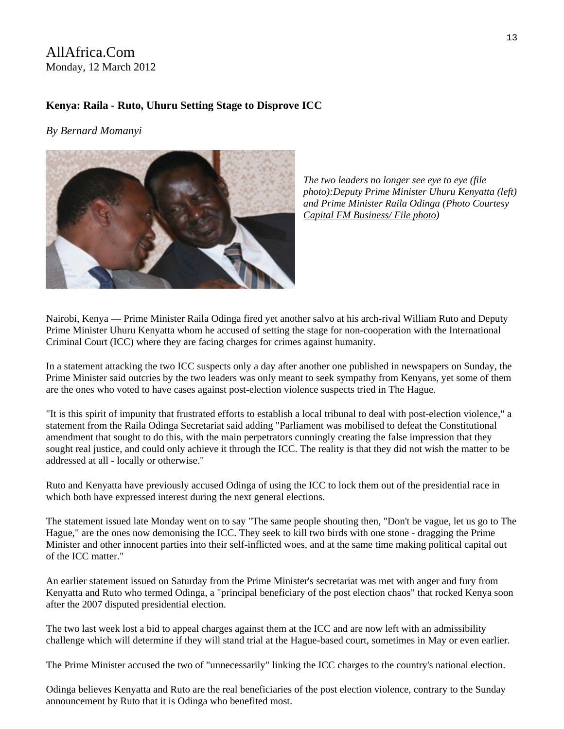# AllAfrica.Com Monday, 12 March 2012

#### **Kenya: Raila - Ruto, Uhuru Setting Stage to Disprove ICC**

*By Bernard Momanyi* 



*left) photo):Deputy Prime Minister Uhuru Kenyatta ( sy and Prime Minister Raila Odinga (Photo Courte The two leaders no longer see eye to eye (file [Capital FM Business/ File photo\)](http://www.capitalfm.co.ke/business)* 

Nairobi, Kenya — Prime Minister Raila Odinga fired yet another salvo at his arch-rival William Ruto and Deputy Prime Minister Uhuru Kenyatta whom he accused of setting the stage for non-cooperation with the International Criminal Court (ICC) where they are facing charges for crimes against humanity.

In a statement attacking the two ICC suspects only a day after another one published in newspapers on Sunday, the Prime Minister said outcries by the two leaders was only meant to seek sympathy from Kenyans, yet some of them are the ones who voted to have cases against post-election violence suspects tried in The Hague.

"It is this spirit of impunity that frustrated efforts to establish a local tribunal to deal with post-election violence," a statement from the Raila Odinga Secretariat said adding "Parliament was mobilised to defeat the Constitutional amendment that sought to do this, with the main perpetrators cunningly creating the false impression that they sought real justice, and could only achieve it through the ICC. The reality is that they did not wish the matter to be addressed at all - locally or otherwise."

Ruto and Kenyatta have previously accused Odinga of using the ICC to lock them out of the presidential race in which both have expressed interest during the next general elections.

The statement issued late Monday went on to say "The same people shouting then, "Don't be vague, let us go to The Hague," are the ones now demonising the ICC. They seek to kill two birds with one stone - dragging the Prime Minister and other innocent parties into their self-inflicted woes, and at the same time making political capital out of the ICC matter."

An earlier statement issued on Saturday from the Prime Minister's secretariat was met with anger and fury from Kenyatta and Ruto who termed Odinga, a "principal beneficiary of the post election chaos" that rocked Kenya soon after the 2007 disputed presidential election.

The two last week lost a bid to appeal charges against them at the ICC and are now left with an admissibility challenge which will determine if they will stand trial at the Hague-based court, sometimes in May or even earlier.

The Prime Minister accused the two of "unnecessarily" linking the ICC charges to the country's national election.

Odinga believes Kenyatta and Ruto are the real beneficiaries of the post election violence, contrary to the Sunday announcement by Ruto that it is Odinga who benefited most.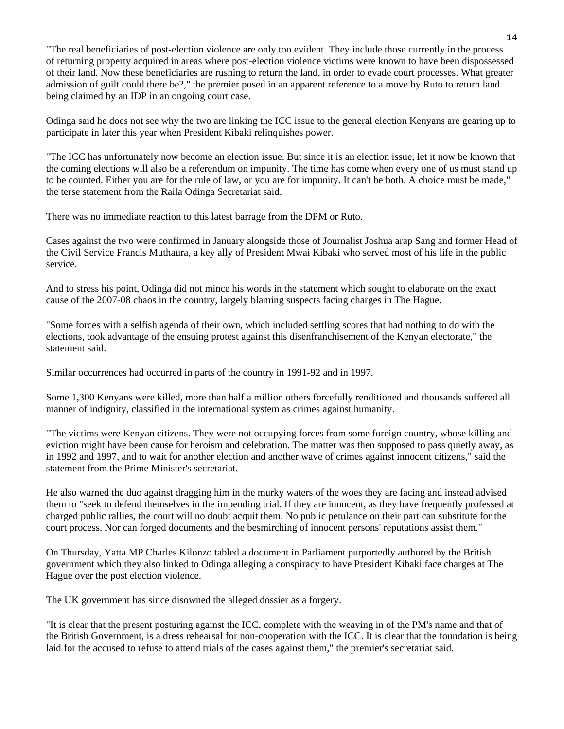"The real beneficiaries of post-election violence are only too evident. They include those currently in the process of returning property acquired in areas where post-election violence victims were known to have been dispossessed of their land. Now these beneficiaries are rushing to return the land, in order to evade court processes. What greater admission of guilt could there be?," the premier posed in an apparent reference to a move by Ruto to return land being claimed by an IDP in an ongoing court case.

Odinga said he does not see why the two are linking the ICC issue to the general election Kenyans are gearing up to participate in later this year when President Kibaki relinquishes power.

"The ICC has unfortunately now become an election issue. But since it is an election issue, let it now be known that the coming elections will also be a referendum on impunity. The time has come when every one of us must stand up to be counted. Either you are for the rule of law, or you are for impunity. It can't be both. A choice must be made," the terse statement from the Raila Odinga Secretariat said.

There was no immediate reaction to this latest barrage from the DPM or Ruto.

Cases against the two were confirmed in January alongside those of Journalist Joshua arap Sang and former Head of the Civil Service Francis Muthaura, a key ally of President Mwai Kibaki who served most of his life in the public service.

And to stress his point, Odinga did not mince his words in the statement which sought to elaborate on the exact cause of the 2007-08 chaos in the country, largely blaming suspects facing charges in The Hague.

"Some forces with a selfish agenda of their own, which included settling scores that had nothing to do with the elections, took advantage of the ensuing protest against this disenfranchisement of the Kenyan electorate," the statement said.

Similar occurrences had occurred in parts of the country in 1991-92 and in 1997.

Some 1,300 Kenyans were killed, more than half a million others forcefully renditioned and thousands suffered all manner of indignity, classified in the international system as crimes against humanity.

"The victims were Kenyan citizens. They were not occupying forces from some foreign country, whose killing and eviction might have been cause for heroism and celebration. The matter was then supposed to pass quietly away, as in 1992 and 1997, and to wait for another election and another wave of crimes against innocent citizens," said the statement from the Prime Minister's secretariat.

He also warned the duo against dragging him in the murky waters of the woes they are facing and instead advised them to "seek to defend themselves in the impending trial. If they are innocent, as they have frequently professed at charged public rallies, the court will no doubt acquit them. No public petulance on their part can substitute for the court process. Nor can forged documents and the besmirching of innocent persons' reputations assist them."

On Thursday, Yatta MP Charles Kilonzo tabled a document in Parliament purportedly authored by the British government which they also linked to Odinga alleging a conspiracy to have President Kibaki face charges at The Hague over the post election violence.

The UK government has since disowned the alleged dossier as a forgery.

"It is clear that the present posturing against the ICC, complete with the weaving in of the PM's name and that of the British Government, is a dress rehearsal for non-cooperation with the ICC. It is clear that the foundation is being laid for the accused to refuse to attend trials of the cases against them," the premier's secretariat said.